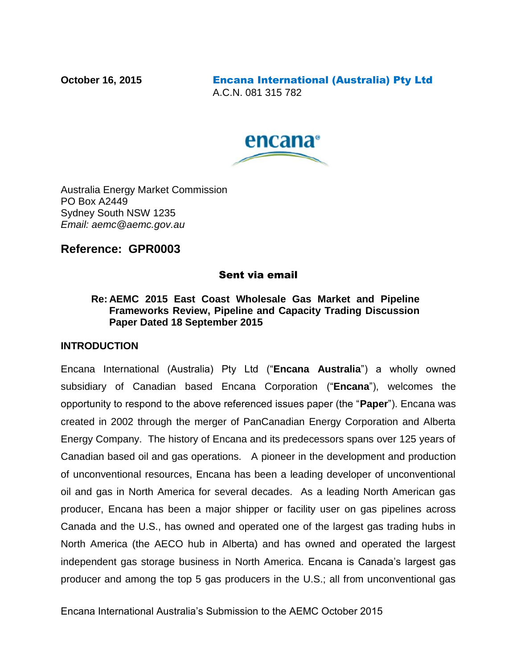**October 16, 2015** Encana International (Australia) Pty Ltd A.C.N. 081 315 782



Australia Energy Market Commission PO Box A2449 Sydney South NSW 1235 *Email: aemc@aemc.gov.au*

### **Reference: GPR0003**

#### Sent via email

#### **Re: AEMC 2015 East Coast Wholesale Gas Market and Pipeline Frameworks Review, Pipeline and Capacity Trading Discussion Paper Dated 18 September 2015**

#### **INTRODUCTION**

Encana International (Australia) Pty Ltd ("**Encana Australia**") a wholly owned subsidiary of Canadian based Encana Corporation ("**Encana**"), welcomes the opportunity to respond to the above referenced issues paper (the "**Paper**"). Encana was created in 2002 through the merger of PanCanadian Energy Corporation and Alberta Energy Company. The history of Encana and its predecessors spans over 125 years of Canadian based oil and gas operations. A pioneer in the development and production of unconventional resources, Encana has been a leading developer of unconventional oil and gas in North America for several decades. As a leading North American gas producer, Encana has been a major shipper or facility user on gas pipelines across Canada and the U.S., has owned and operated one of the largest gas trading hubs in North America (the AECO hub in Alberta) and has owned and operated the largest independent gas storage business in North America. Encana is Canada's largest gas producer and among the top 5 gas producers in the U.S.; all from unconventional gas

Encana International Australia's Submission to the AEMC October 2015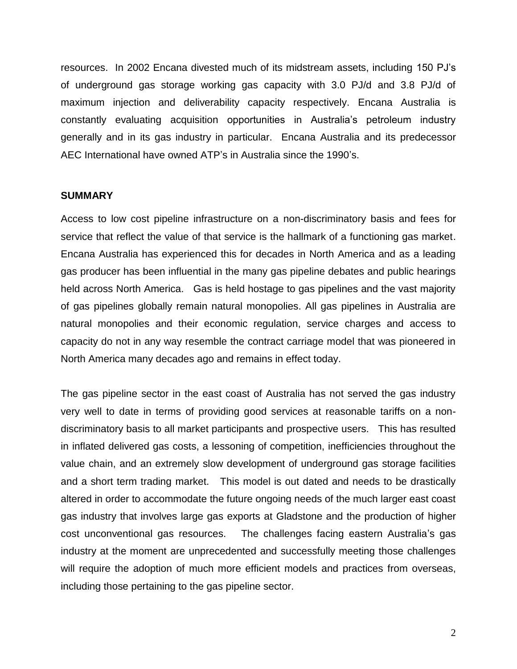resources. In 2002 Encana divested much of its midstream assets, including 150 PJ's of underground gas storage working gas capacity with 3.0 PJ/d and 3.8 PJ/d of maximum injection and deliverability capacity respectively. Encana Australia is constantly evaluating acquisition opportunities in Australia's petroleum industry generally and in its gas industry in particular. Encana Australia and its predecessor AEC International have owned ATP's in Australia since the 1990's.

#### **SUMMARY**

Access to low cost pipeline infrastructure on a non-discriminatory basis and fees for service that reflect the value of that service is the hallmark of a functioning gas market. Encana Australia has experienced this for decades in North America and as a leading gas producer has been influential in the many gas pipeline debates and public hearings held across North America. Gas is held hostage to gas pipelines and the vast majority of gas pipelines globally remain natural monopolies. All gas pipelines in Australia are natural monopolies and their economic regulation, service charges and access to capacity do not in any way resemble the contract carriage model that was pioneered in North America many decades ago and remains in effect today.

The gas pipeline sector in the east coast of Australia has not served the gas industry very well to date in terms of providing good services at reasonable tariffs on a nondiscriminatory basis to all market participants and prospective users. This has resulted in inflated delivered gas costs, a lessoning of competition, inefficiencies throughout the value chain, and an extremely slow development of underground gas storage facilities and a short term trading market. This model is out dated and needs to be drastically altered in order to accommodate the future ongoing needs of the much larger east coast gas industry that involves large gas exports at Gladstone and the production of higher cost unconventional gas resources. The challenges facing eastern Australia's gas industry at the moment are unprecedented and successfully meeting those challenges will require the adoption of much more efficient models and practices from overseas, including those pertaining to the gas pipeline sector.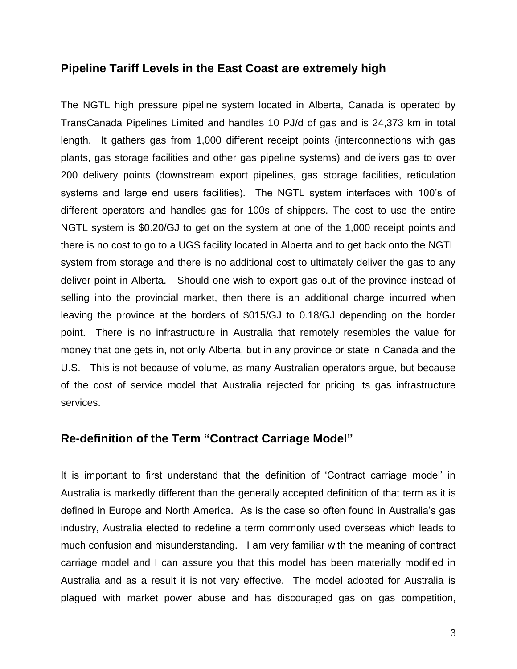### **Pipeline Tariff Levels in the East Coast are extremely high**

The NGTL high pressure pipeline system located in Alberta, Canada is operated by TransCanada Pipelines Limited and handles 10 PJ/d of gas and is 24,373 km in total length. It gathers gas from 1,000 different receipt points (interconnections with gas plants, gas storage facilities and other gas pipeline systems) and delivers gas to over 200 delivery points (downstream export pipelines, gas storage facilities, reticulation systems and large end users facilities). The NGTL system interfaces with 100's of different operators and handles gas for 100s of shippers. The cost to use the entire NGTL system is \$0.20/GJ to get on the system at one of the 1,000 receipt points and there is no cost to go to a UGS facility located in Alberta and to get back onto the NGTL system from storage and there is no additional cost to ultimately deliver the gas to any deliver point in Alberta. Should one wish to export gas out of the province instead of selling into the provincial market, then there is an additional charge incurred when leaving the province at the borders of \$015/GJ to 0.18/GJ depending on the border point. There is no infrastructure in Australia that remotely resembles the value for money that one gets in, not only Alberta, but in any province or state in Canada and the U.S. This is not because of volume, as many Australian operators argue, but because of the cost of service model that Australia rejected for pricing its gas infrastructure services.

### **Re-definition of the Term "Contract Carriage Model"**

It is important to first understand that the definition of 'Contract carriage model' in Australia is markedly different than the generally accepted definition of that term as it is defined in Europe and North America. As is the case so often found in Australia's gas industry, Australia elected to redefine a term commonly used overseas which leads to much confusion and misunderstanding. I am very familiar with the meaning of contract carriage model and I can assure you that this model has been materially modified in Australia and as a result it is not very effective. The model adopted for Australia is plagued with market power abuse and has discouraged gas on gas competition,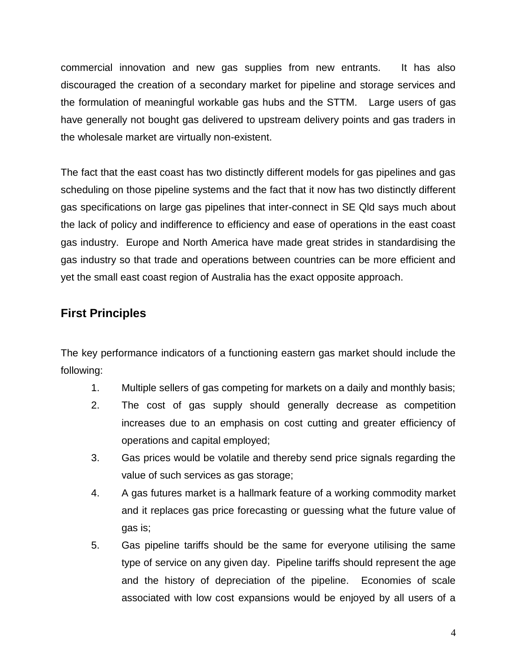commercial innovation and new gas supplies from new entrants. It has also discouraged the creation of a secondary market for pipeline and storage services and the formulation of meaningful workable gas hubs and the STTM. Large users of gas have generally not bought gas delivered to upstream delivery points and gas traders in the wholesale market are virtually non-existent.

The fact that the east coast has two distinctly different models for gas pipelines and gas scheduling on those pipeline systems and the fact that it now has two distinctly different gas specifications on large gas pipelines that inter-connect in SE Qld says much about the lack of policy and indifference to efficiency and ease of operations in the east coast gas industry. Europe and North America have made great strides in standardising the gas industry so that trade and operations between countries can be more efficient and yet the small east coast region of Australia has the exact opposite approach.

# **First Principles**

The key performance indicators of a functioning eastern gas market should include the following:

- 1. Multiple sellers of gas competing for markets on a daily and monthly basis;
- 2. The cost of gas supply should generally decrease as competition increases due to an emphasis on cost cutting and greater efficiency of operations and capital employed;
- 3. Gas prices would be volatile and thereby send price signals regarding the value of such services as gas storage;
- 4. A gas futures market is a hallmark feature of a working commodity market and it replaces gas price forecasting or guessing what the future value of gas is;
- 5. Gas pipeline tariffs should be the same for everyone utilising the same type of service on any given day. Pipeline tariffs should represent the age and the history of depreciation of the pipeline. Economies of scale associated with low cost expansions would be enjoyed by all users of a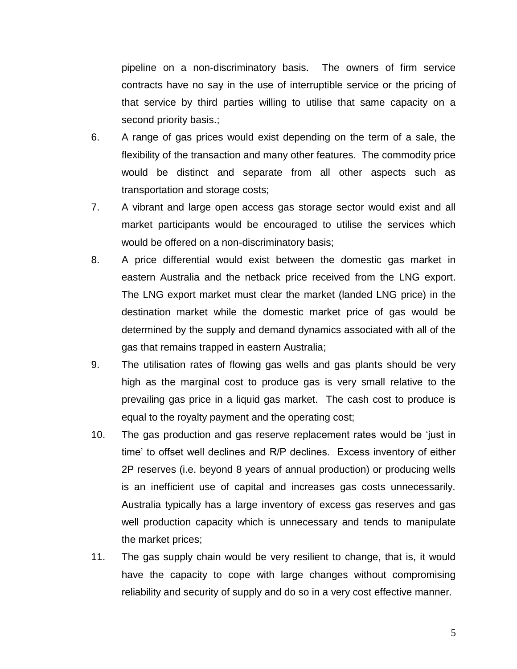pipeline on a non-discriminatory basis. The owners of firm service contracts have no say in the use of interruptible service or the pricing of that service by third parties willing to utilise that same capacity on a second priority basis.;

- 6. A range of gas prices would exist depending on the term of a sale, the flexibility of the transaction and many other features. The commodity price would be distinct and separate from all other aspects such as transportation and storage costs;
- 7. A vibrant and large open access gas storage sector would exist and all market participants would be encouraged to utilise the services which would be offered on a non-discriminatory basis;
- 8. A price differential would exist between the domestic gas market in eastern Australia and the netback price received from the LNG export. The LNG export market must clear the market (landed LNG price) in the destination market while the domestic market price of gas would be determined by the supply and demand dynamics associated with all of the gas that remains trapped in eastern Australia;
- 9. The utilisation rates of flowing gas wells and gas plants should be very high as the marginal cost to produce gas is very small relative to the prevailing gas price in a liquid gas market. The cash cost to produce is equal to the royalty payment and the operating cost;
- 10. The gas production and gas reserve replacement rates would be 'just in time' to offset well declines and R/P declines. Excess inventory of either 2P reserves (i.e. beyond 8 years of annual production) or producing wells is an inefficient use of capital and increases gas costs unnecessarily. Australia typically has a large inventory of excess gas reserves and gas well production capacity which is unnecessary and tends to manipulate the market prices;
- 11. The gas supply chain would be very resilient to change, that is, it would have the capacity to cope with large changes without compromising reliability and security of supply and do so in a very cost effective manner.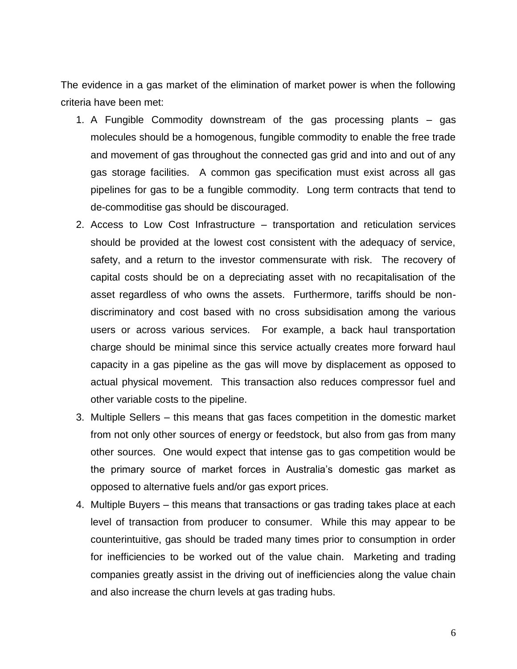The evidence in a gas market of the elimination of market power is when the following criteria have been met:

- 1. A Fungible Commodity downstream of the gas processing plants gas molecules should be a homogenous, fungible commodity to enable the free trade and movement of gas throughout the connected gas grid and into and out of any gas storage facilities. A common gas specification must exist across all gas pipelines for gas to be a fungible commodity. Long term contracts that tend to de-commoditise gas should be discouraged.
- 2. Access to Low Cost Infrastructure transportation and reticulation services should be provided at the lowest cost consistent with the adequacy of service, safety, and a return to the investor commensurate with risk. The recovery of capital costs should be on a depreciating asset with no recapitalisation of the asset regardless of who owns the assets. Furthermore, tariffs should be nondiscriminatory and cost based with no cross subsidisation among the various users or across various services. For example, a back haul transportation charge should be minimal since this service actually creates more forward haul capacity in a gas pipeline as the gas will move by displacement as opposed to actual physical movement. This transaction also reduces compressor fuel and other variable costs to the pipeline.
- 3. Multiple Sellers this means that gas faces competition in the domestic market from not only other sources of energy or feedstock, but also from gas from many other sources. One would expect that intense gas to gas competition would be the primary source of market forces in Australia's domestic gas market as opposed to alternative fuels and/or gas export prices.
- 4. Multiple Buyers this means that transactions or gas trading takes place at each level of transaction from producer to consumer. While this may appear to be counterintuitive, gas should be traded many times prior to consumption in order for inefficiencies to be worked out of the value chain. Marketing and trading companies greatly assist in the driving out of inefficiencies along the value chain and also increase the churn levels at gas trading hubs.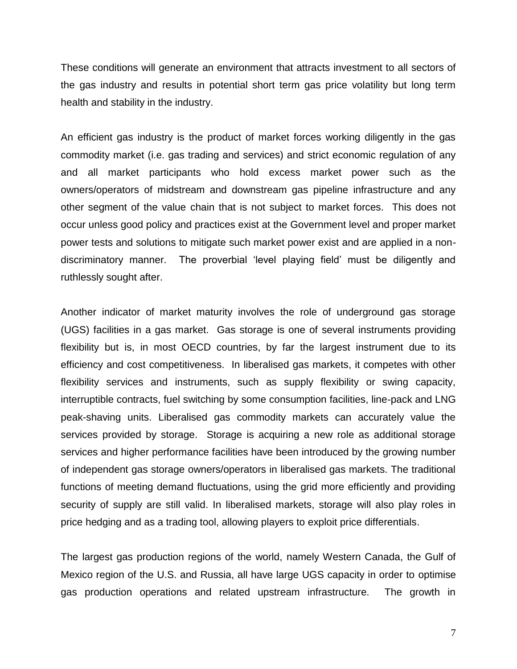These conditions will generate an environment that attracts investment to all sectors of the gas industry and results in potential short term gas price volatility but long term health and stability in the industry.

An efficient gas industry is the product of market forces working diligently in the gas commodity market (i.e. gas trading and services) and strict economic regulation of any and all market participants who hold excess market power such as the owners/operators of midstream and downstream gas pipeline infrastructure and any other segment of the value chain that is not subject to market forces. This does not occur unless good policy and practices exist at the Government level and proper market power tests and solutions to mitigate such market power exist and are applied in a nondiscriminatory manner. The proverbial 'level playing field' must be diligently and ruthlessly sought after.

Another indicator of market maturity involves the role of underground gas storage (UGS) facilities in a gas market. Gas storage is one of several instruments providing flexibility but is, in most OECD countries, by far the largest instrument due to its efficiency and cost competitiveness. In liberalised gas markets, it competes with other flexibility services and instruments, such as supply flexibility or swing capacity, interruptible contracts, fuel switching by some consumption facilities, line-pack and LNG peak-shaving units. Liberalised gas commodity markets can accurately value the services provided by storage. Storage is acquiring a new role as additional storage services and higher performance facilities have been introduced by the growing number of independent gas storage owners/operators in liberalised gas markets. The traditional functions of meeting demand fluctuations, using the grid more efficiently and providing security of supply are still valid. In liberalised markets, storage will also play roles in price hedging and as a trading tool, allowing players to exploit price differentials.

The largest gas production regions of the world, namely Western Canada, the Gulf of Mexico region of the U.S. and Russia, all have large UGS capacity in order to optimise gas production operations and related upstream infrastructure. The growth in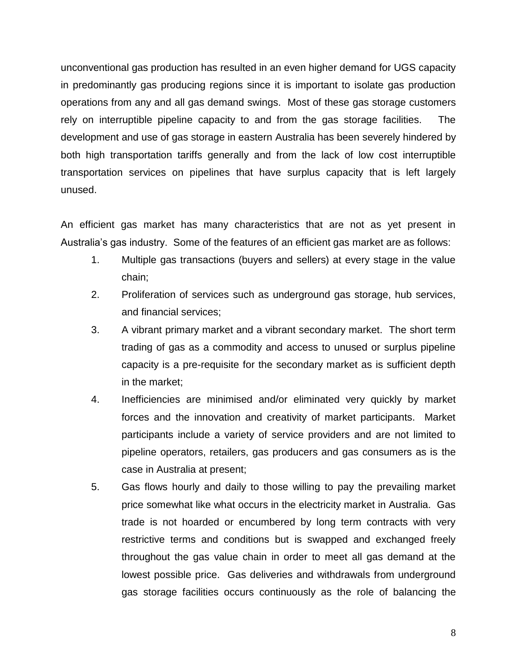unconventional gas production has resulted in an even higher demand for UGS capacity in predominantly gas producing regions since it is important to isolate gas production operations from any and all gas demand swings. Most of these gas storage customers rely on interruptible pipeline capacity to and from the gas storage facilities. The development and use of gas storage in eastern Australia has been severely hindered by both high transportation tariffs generally and from the lack of low cost interruptible transportation services on pipelines that have surplus capacity that is left largely unused.

An efficient gas market has many characteristics that are not as yet present in Australia's gas industry. Some of the features of an efficient gas market are as follows:

- 1. Multiple gas transactions (buyers and sellers) at every stage in the value chain;
- 2. Proliferation of services such as underground gas storage, hub services, and financial services;
- 3. A vibrant primary market and a vibrant secondary market. The short term trading of gas as a commodity and access to unused or surplus pipeline capacity is a pre-requisite for the secondary market as is sufficient depth in the market;
- 4. Inefficiencies are minimised and/or eliminated very quickly by market forces and the innovation and creativity of market participants. Market participants include a variety of service providers and are not limited to pipeline operators, retailers, gas producers and gas consumers as is the case in Australia at present;
- 5. Gas flows hourly and daily to those willing to pay the prevailing market price somewhat like what occurs in the electricity market in Australia. Gas trade is not hoarded or encumbered by long term contracts with very restrictive terms and conditions but is swapped and exchanged freely throughout the gas value chain in order to meet all gas demand at the lowest possible price. Gas deliveries and withdrawals from underground gas storage facilities occurs continuously as the role of balancing the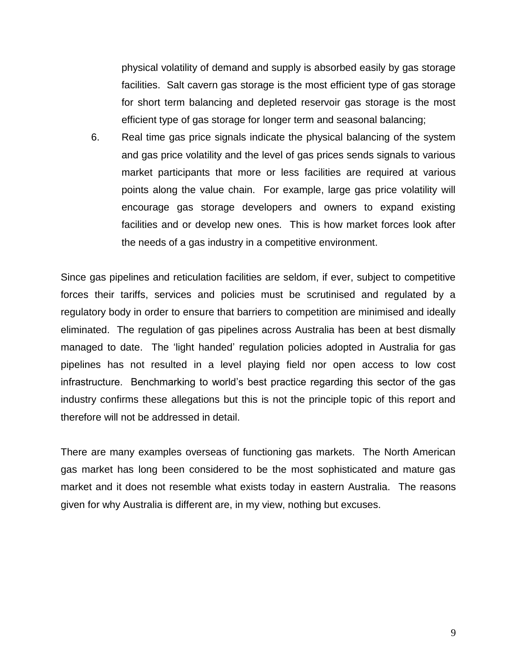physical volatility of demand and supply is absorbed easily by gas storage facilities. Salt cavern gas storage is the most efficient type of gas storage for short term balancing and depleted reservoir gas storage is the most efficient type of gas storage for longer term and seasonal balancing;

6. Real time gas price signals indicate the physical balancing of the system and gas price volatility and the level of gas prices sends signals to various market participants that more or less facilities are required at various points along the value chain. For example, large gas price volatility will encourage gas storage developers and owners to expand existing facilities and or develop new ones. This is how market forces look after the needs of a gas industry in a competitive environment.

Since gas pipelines and reticulation facilities are seldom, if ever, subject to competitive forces their tariffs, services and policies must be scrutinised and regulated by a regulatory body in order to ensure that barriers to competition are minimised and ideally eliminated. The regulation of gas pipelines across Australia has been at best dismally managed to date. The 'light handed' regulation policies adopted in Australia for gas pipelines has not resulted in a level playing field nor open access to low cost infrastructure. Benchmarking to world's best practice regarding this sector of the gas industry confirms these allegations but this is not the principle topic of this report and therefore will not be addressed in detail.

There are many examples overseas of functioning gas markets. The North American gas market has long been considered to be the most sophisticated and mature gas market and it does not resemble what exists today in eastern Australia. The reasons given for why Australia is different are, in my view, nothing but excuses.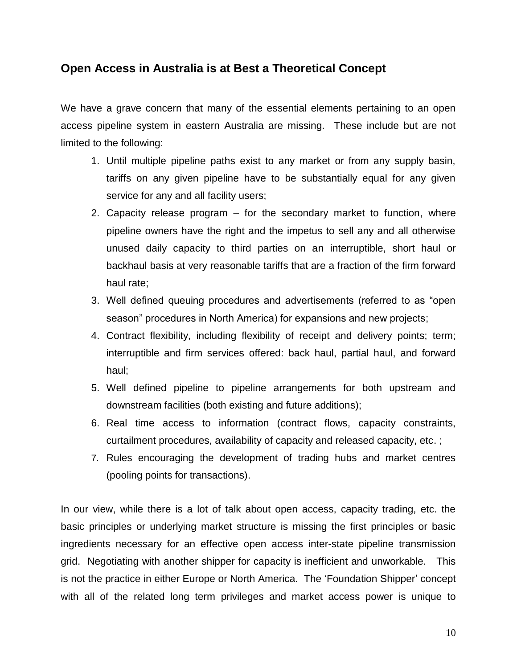# **Open Access in Australia is at Best a Theoretical Concept**

We have a grave concern that many of the essential elements pertaining to an open access pipeline system in eastern Australia are missing. These include but are not limited to the following:

- 1. Until multiple pipeline paths exist to any market or from any supply basin, tariffs on any given pipeline have to be substantially equal for any given service for any and all facility users;
- 2. Capacity release program for the secondary market to function, where pipeline owners have the right and the impetus to sell any and all otherwise unused daily capacity to third parties on an interruptible, short haul or backhaul basis at very reasonable tariffs that are a fraction of the firm forward haul rate;
- 3. Well defined queuing procedures and advertisements (referred to as "open season" procedures in North America) for expansions and new projects;
- 4. Contract flexibility, including flexibility of receipt and delivery points; term; interruptible and firm services offered: back haul, partial haul, and forward haul;
- 5. Well defined pipeline to pipeline arrangements for both upstream and downstream facilities (both existing and future additions);
- 6. Real time access to information (contract flows, capacity constraints, curtailment procedures, availability of capacity and released capacity, etc. ;
- 7. Rules encouraging the development of trading hubs and market centres (pooling points for transactions).

In our view, while there is a lot of talk about open access, capacity trading, etc. the basic principles or underlying market structure is missing the first principles or basic ingredients necessary for an effective open access inter-state pipeline transmission grid. Negotiating with another shipper for capacity is inefficient and unworkable. This is not the practice in either Europe or North America. The 'Foundation Shipper' concept with all of the related long term privileges and market access power is unique to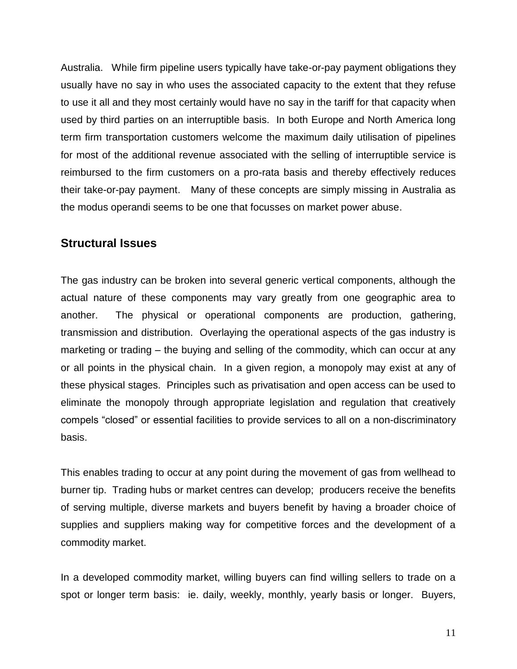Australia. While firm pipeline users typically have take-or-pay payment obligations they usually have no say in who uses the associated capacity to the extent that they refuse to use it all and they most certainly would have no say in the tariff for that capacity when used by third parties on an interruptible basis. In both Europe and North America long term firm transportation customers welcome the maximum daily utilisation of pipelines for most of the additional revenue associated with the selling of interruptible service is reimbursed to the firm customers on a pro-rata basis and thereby effectively reduces their take-or-pay payment. Many of these concepts are simply missing in Australia as the modus operandi seems to be one that focusses on market power abuse.

#### **Structural Issues**

The gas industry can be broken into several generic vertical components, although the actual nature of these components may vary greatly from one geographic area to another. The physical or operational components are production, gathering, transmission and distribution. Overlaying the operational aspects of the gas industry is marketing or trading – the buying and selling of the commodity, which can occur at any or all points in the physical chain. In a given region, a monopoly may exist at any of these physical stages. Principles such as privatisation and open access can be used to eliminate the monopoly through appropriate legislation and regulation that creatively compels "closed" or essential facilities to provide services to all on a non-discriminatory basis.

This enables trading to occur at any point during the movement of gas from wellhead to burner tip. Trading hubs or market centres can develop; producers receive the benefits of serving multiple, diverse markets and buyers benefit by having a broader choice of supplies and suppliers making way for competitive forces and the development of a commodity market.

In a developed commodity market, willing buyers can find willing sellers to trade on a spot or longer term basis: ie. daily, weekly, monthly, yearly basis or longer. Buyers,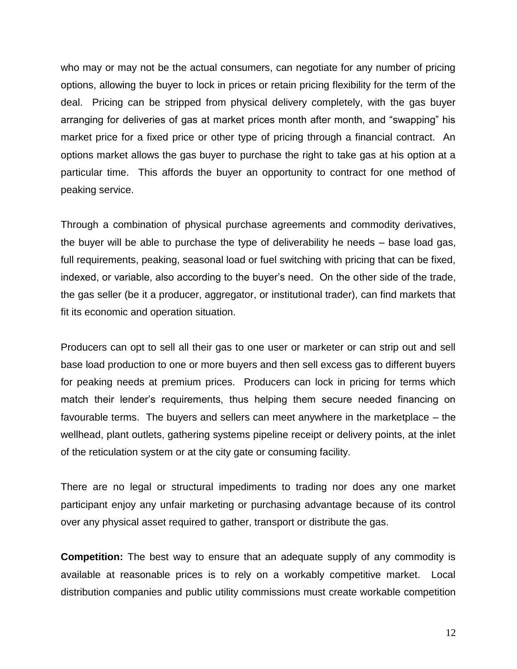who may or may not be the actual consumers, can negotiate for any number of pricing options, allowing the buyer to lock in prices or retain pricing flexibility for the term of the deal. Pricing can be stripped from physical delivery completely, with the gas buyer arranging for deliveries of gas at market prices month after month, and "swapping" his market price for a fixed price or other type of pricing through a financial contract. An options market allows the gas buyer to purchase the right to take gas at his option at a particular time. This affords the buyer an opportunity to contract for one method of peaking service.

Through a combination of physical purchase agreements and commodity derivatives, the buyer will be able to purchase the type of deliverability he needs – base load gas, full requirements, peaking, seasonal load or fuel switching with pricing that can be fixed, indexed, or variable, also according to the buyer's need. On the other side of the trade, the gas seller (be it a producer, aggregator, or institutional trader), can find markets that fit its economic and operation situation.

Producers can opt to sell all their gas to one user or marketer or can strip out and sell base load production to one or more buyers and then sell excess gas to different buyers for peaking needs at premium prices. Producers can lock in pricing for terms which match their lender's requirements, thus helping them secure needed financing on favourable terms. The buyers and sellers can meet anywhere in the marketplace – the wellhead, plant outlets, gathering systems pipeline receipt or delivery points, at the inlet of the reticulation system or at the city gate or consuming facility.

There are no legal or structural impediments to trading nor does any one market participant enjoy any unfair marketing or purchasing advantage because of its control over any physical asset required to gather, transport or distribute the gas.

**Competition:** The best way to ensure that an adequate supply of any commodity is available at reasonable prices is to rely on a workably competitive market. Local distribution companies and public utility commissions must create workable competition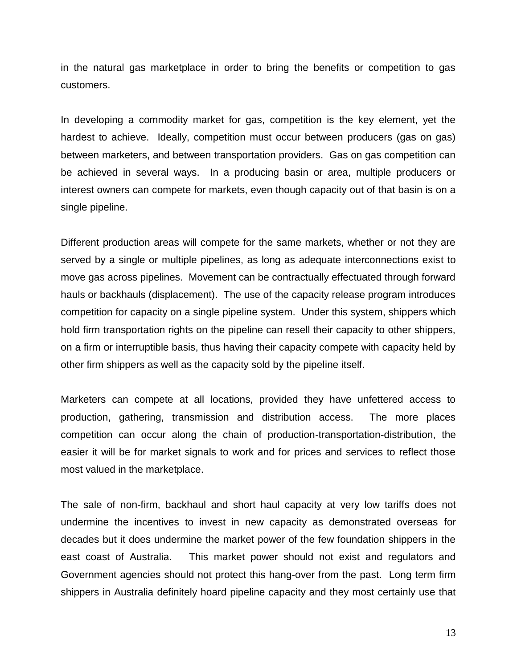in the natural gas marketplace in order to bring the benefits or competition to gas customers.

In developing a commodity market for gas, competition is the key element, yet the hardest to achieve. Ideally, competition must occur between producers (gas on gas) between marketers, and between transportation providers. Gas on gas competition can be achieved in several ways. In a producing basin or area, multiple producers or interest owners can compete for markets, even though capacity out of that basin is on a single pipeline.

Different production areas will compete for the same markets, whether or not they are served by a single or multiple pipelines, as long as adequate interconnections exist to move gas across pipelines. Movement can be contractually effectuated through forward hauls or backhauls (displacement). The use of the capacity release program introduces competition for capacity on a single pipeline system. Under this system, shippers which hold firm transportation rights on the pipeline can resell their capacity to other shippers, on a firm or interruptible basis, thus having their capacity compete with capacity held by other firm shippers as well as the capacity sold by the pipeline itself.

Marketers can compete at all locations, provided they have unfettered access to production, gathering, transmission and distribution access. The more places competition can occur along the chain of production-transportation-distribution, the easier it will be for market signals to work and for prices and services to reflect those most valued in the marketplace.

The sale of non-firm, backhaul and short haul capacity at very low tariffs does not undermine the incentives to invest in new capacity as demonstrated overseas for decades but it does undermine the market power of the few foundation shippers in the east coast of Australia. This market power should not exist and regulators and Government agencies should not protect this hang-over from the past. Long term firm shippers in Australia definitely hoard pipeline capacity and they most certainly use that

13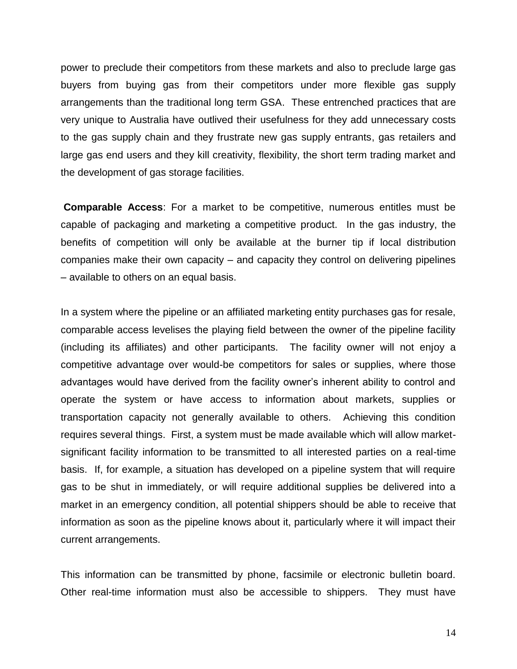power to preclude their competitors from these markets and also to preclude large gas buyers from buying gas from their competitors under more flexible gas supply arrangements than the traditional long term GSA. These entrenched practices that are very unique to Australia have outlived their usefulness for they add unnecessary costs to the gas supply chain and they frustrate new gas supply entrants, gas retailers and large gas end users and they kill creativity, flexibility, the short term trading market and the development of gas storage facilities.

**Comparable Access**: For a market to be competitive, numerous entitles must be capable of packaging and marketing a competitive product. In the gas industry, the benefits of competition will only be available at the burner tip if local distribution companies make their own capacity – and capacity they control on delivering pipelines – available to others on an equal basis.

In a system where the pipeline or an affiliated marketing entity purchases gas for resale, comparable access levelises the playing field between the owner of the pipeline facility (including its affiliates) and other participants. The facility owner will not enjoy a competitive advantage over would-be competitors for sales or supplies, where those advantages would have derived from the facility owner's inherent ability to control and operate the system or have access to information about markets, supplies or transportation capacity not generally available to others. Achieving this condition requires several things. First, a system must be made available which will allow marketsignificant facility information to be transmitted to all interested parties on a real-time basis. If, for example, a situation has developed on a pipeline system that will require gas to be shut in immediately, or will require additional supplies be delivered into a market in an emergency condition, all potential shippers should be able to receive that information as soon as the pipeline knows about it, particularly where it will impact their current arrangements.

This information can be transmitted by phone, facsimile or electronic bulletin board. Other real-time information must also be accessible to shippers. They must have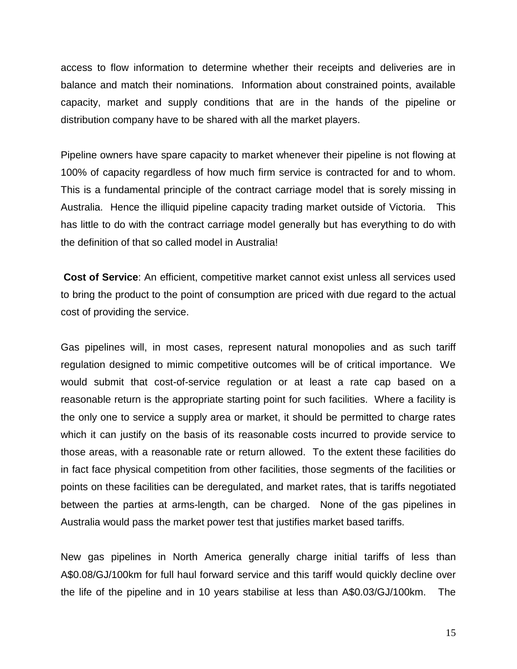access to flow information to determine whether their receipts and deliveries are in balance and match their nominations. Information about constrained points, available capacity, market and supply conditions that are in the hands of the pipeline or distribution company have to be shared with all the market players.

Pipeline owners have spare capacity to market whenever their pipeline is not flowing at 100% of capacity regardless of how much firm service is contracted for and to whom. This is a fundamental principle of the contract carriage model that is sorely missing in Australia. Hence the illiquid pipeline capacity trading market outside of Victoria. This has little to do with the contract carriage model generally but has everything to do with the definition of that so called model in Australia!

**Cost of Service**: An efficient, competitive market cannot exist unless all services used to bring the product to the point of consumption are priced with due regard to the actual cost of providing the service.

Gas pipelines will, in most cases, represent natural monopolies and as such tariff regulation designed to mimic competitive outcomes will be of critical importance. We would submit that cost-of-service regulation or at least a rate cap based on a reasonable return is the appropriate starting point for such facilities. Where a facility is the only one to service a supply area or market, it should be permitted to charge rates which it can justify on the basis of its reasonable costs incurred to provide service to those areas, with a reasonable rate or return allowed. To the extent these facilities do in fact face physical competition from other facilities, those segments of the facilities or points on these facilities can be deregulated, and market rates, that is tariffs negotiated between the parties at arms-length, can be charged. None of the gas pipelines in Australia would pass the market power test that justifies market based tariffs.

New gas pipelines in North America generally charge initial tariffs of less than A\$0.08/GJ/100km for full haul forward service and this tariff would quickly decline over the life of the pipeline and in 10 years stabilise at less than A\$0.03/GJ/100km. The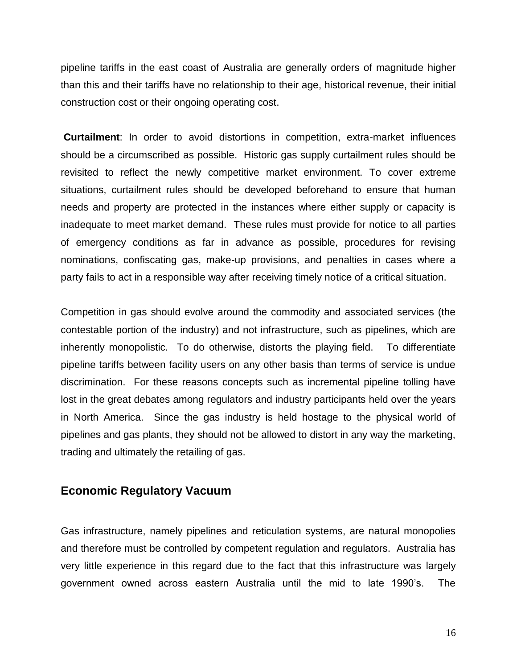pipeline tariffs in the east coast of Australia are generally orders of magnitude higher than this and their tariffs have no relationship to their age, historical revenue, their initial construction cost or their ongoing operating cost.

**Curtailment**: In order to avoid distortions in competition, extra-market influences should be a circumscribed as possible. Historic gas supply curtailment rules should be revisited to reflect the newly competitive market environment. To cover extreme situations, curtailment rules should be developed beforehand to ensure that human needs and property are protected in the instances where either supply or capacity is inadequate to meet market demand. These rules must provide for notice to all parties of emergency conditions as far in advance as possible, procedures for revising nominations, confiscating gas, make-up provisions, and penalties in cases where a party fails to act in a responsible way after receiving timely notice of a critical situation.

Competition in gas should evolve around the commodity and associated services (the contestable portion of the industry) and not infrastructure, such as pipelines, which are inherently monopolistic. To do otherwise, distorts the playing field. To differentiate pipeline tariffs between facility users on any other basis than terms of service is undue discrimination. For these reasons concepts such as incremental pipeline tolling have lost in the great debates among regulators and industry participants held over the years in North America. Since the gas industry is held hostage to the physical world of pipelines and gas plants, they should not be allowed to distort in any way the marketing, trading and ultimately the retailing of gas.

#### **Economic Regulatory Vacuum**

Gas infrastructure, namely pipelines and reticulation systems, are natural monopolies and therefore must be controlled by competent regulation and regulators. Australia has very little experience in this regard due to the fact that this infrastructure was largely government owned across eastern Australia until the mid to late 1990's. The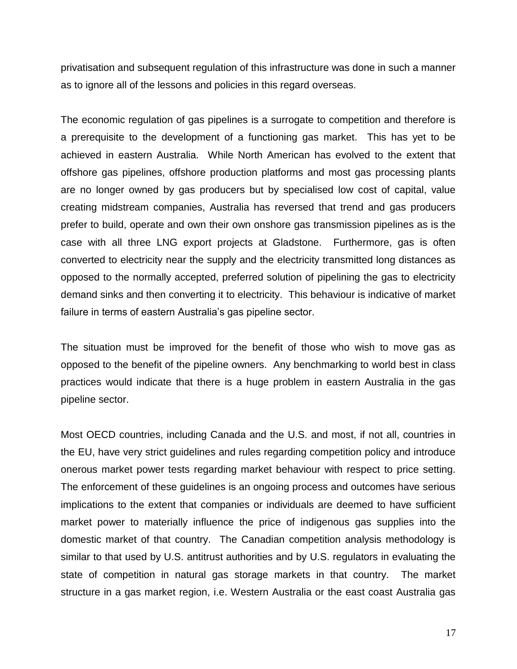privatisation and subsequent regulation of this infrastructure was done in such a manner as to ignore all of the lessons and policies in this regard overseas.

The economic regulation of gas pipelines is a surrogate to competition and therefore is a prerequisite to the development of a functioning gas market. This has yet to be achieved in eastern Australia. While North American has evolved to the extent that offshore gas pipelines, offshore production platforms and most gas processing plants are no longer owned by gas producers but by specialised low cost of capital, value creating midstream companies, Australia has reversed that trend and gas producers prefer to build, operate and own their own onshore gas transmission pipelines as is the case with all three LNG export projects at Gladstone. Furthermore, gas is often converted to electricity near the supply and the electricity transmitted long distances as opposed to the normally accepted, preferred solution of pipelining the gas to electricity demand sinks and then converting it to electricity. This behaviour is indicative of market failure in terms of eastern Australia's gas pipeline sector.

The situation must be improved for the benefit of those who wish to move gas as opposed to the benefit of the pipeline owners. Any benchmarking to world best in class practices would indicate that there is a huge problem in eastern Australia in the gas pipeline sector.

Most OECD countries, including Canada and the U.S. and most, if not all, countries in the EU, have very strict guidelines and rules regarding competition policy and introduce onerous market power tests regarding market behaviour with respect to price setting. The enforcement of these guidelines is an ongoing process and outcomes have serious implications to the extent that companies or individuals are deemed to have sufficient market power to materially influence the price of indigenous gas supplies into the domestic market of that country. The Canadian competition analysis methodology is similar to that used by U.S. antitrust authorities and by U.S. regulators in evaluating the state of competition in natural gas storage markets in that country. The market structure in a gas market region, i.e. Western Australia or the east coast Australia gas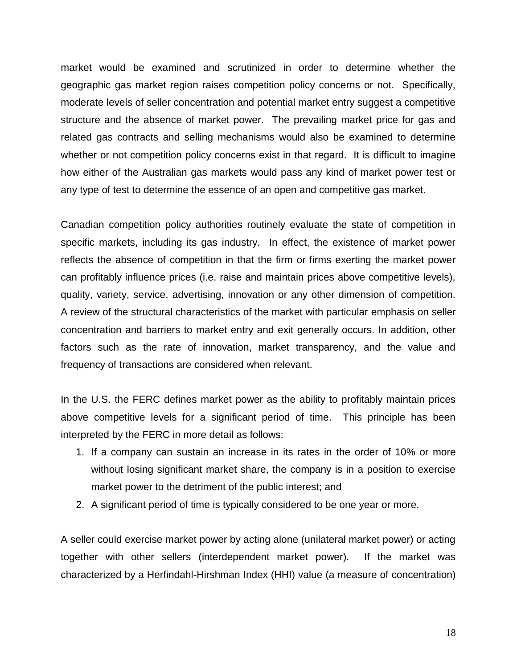market would be examined and scrutinized in order to determine whether the geographic gas market region raises competition policy concerns or not. Specifically, moderate levels of seller concentration and potential market entry suggest a competitive structure and the absence of market power. The prevailing market price for gas and related gas contracts and selling mechanisms would also be examined to determine whether or not competition policy concerns exist in that regard. It is difficult to imagine how either of the Australian gas markets would pass any kind of market power test or any type of test to determine the essence of an open and competitive gas market.

Canadian competition policy authorities routinely evaluate the state of competition in specific markets, including its gas industry. In effect, the existence of market power reflects the absence of competition in that the firm or firms exerting the market power can profitably influence prices (i.e. raise and maintain prices above competitive levels), quality, variety, service, advertising, innovation or any other dimension of competition. A review of the structural characteristics of the market with particular emphasis on seller concentration and barriers to market entry and exit generally occurs. In addition, other factors such as the rate of innovation, market transparency, and the value and frequency of transactions are considered when relevant.

In the U.S. the FERC defines market power as the ability to profitably maintain prices above competitive levels for a significant period of time. This principle has been interpreted by the FERC in more detail as follows:

- 1. If a company can sustain an increase in its rates in the order of 10% or more without losing significant market share, the company is in a position to exercise market power to the detriment of the public interest; and
- 2. A significant period of time is typically considered to be one year or more.

A seller could exercise market power by acting alone (unilateral market power) or acting together with other sellers (interdependent market power). If the market was characterized by a Herfindahl-Hirshman Index (HHI) value (a measure of concentration)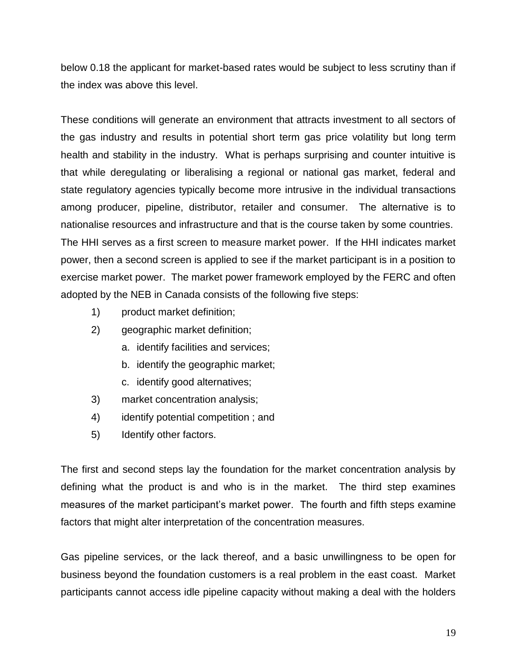below 0.18 the applicant for market-based rates would be subject to less scrutiny than if the index was above this level.

These conditions will generate an environment that attracts investment to all sectors of the gas industry and results in potential short term gas price volatility but long term health and stability in the industry. What is perhaps surprising and counter intuitive is that while deregulating or liberalising a regional or national gas market, federal and state regulatory agencies typically become more intrusive in the individual transactions among producer, pipeline, distributor, retailer and consumer. The alternative is to nationalise resources and infrastructure and that is the course taken by some countries. The HHI serves as a first screen to measure market power. If the HHI indicates market power, then a second screen is applied to see if the market participant is in a position to exercise market power. The market power framework employed by the FERC and often adopted by the NEB in Canada consists of the following five steps:

- 1) product market definition;
- 2) geographic market definition;
	- a. identify facilities and services;
	- b. identify the geographic market;
	- c. identify good alternatives;
- 3) market concentration analysis;
- 4) identify potential competition ; and
- 5) Identify other factors.

The first and second steps lay the foundation for the market concentration analysis by defining what the product is and who is in the market. The third step examines measures of the market participant's market power. The fourth and fifth steps examine factors that might alter interpretation of the concentration measures.

Gas pipeline services, or the lack thereof, and a basic unwillingness to be open for business beyond the foundation customers is a real problem in the east coast. Market participants cannot access idle pipeline capacity without making a deal with the holders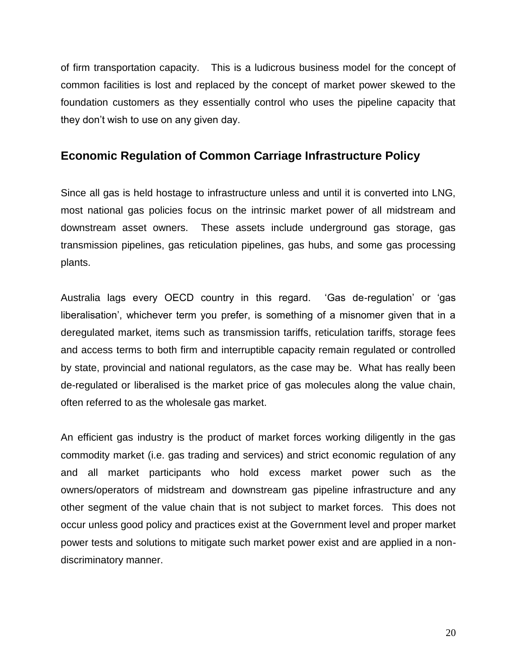of firm transportation capacity. This is a ludicrous business model for the concept of common facilities is lost and replaced by the concept of market power skewed to the foundation customers as they essentially control who uses the pipeline capacity that they don't wish to use on any given day.

## **Economic Regulation of Common Carriage Infrastructure Policy**

Since all gas is held hostage to infrastructure unless and until it is converted into LNG, most national gas policies focus on the intrinsic market power of all midstream and downstream asset owners. These assets include underground gas storage, gas transmission pipelines, gas reticulation pipelines, gas hubs, and some gas processing plants.

Australia lags every OECD country in this regard. 'Gas de-regulation' or 'gas liberalisation', whichever term you prefer, is something of a misnomer given that in a deregulated market, items such as transmission tariffs, reticulation tariffs, storage fees and access terms to both firm and interruptible capacity remain regulated or controlled by state, provincial and national regulators, as the case may be. What has really been de-regulated or liberalised is the market price of gas molecules along the value chain, often referred to as the wholesale gas market.

An efficient gas industry is the product of market forces working diligently in the gas commodity market (i.e. gas trading and services) and strict economic regulation of any and all market participants who hold excess market power such as the owners/operators of midstream and downstream gas pipeline infrastructure and any other segment of the value chain that is not subject to market forces. This does not occur unless good policy and practices exist at the Government level and proper market power tests and solutions to mitigate such market power exist and are applied in a nondiscriminatory manner.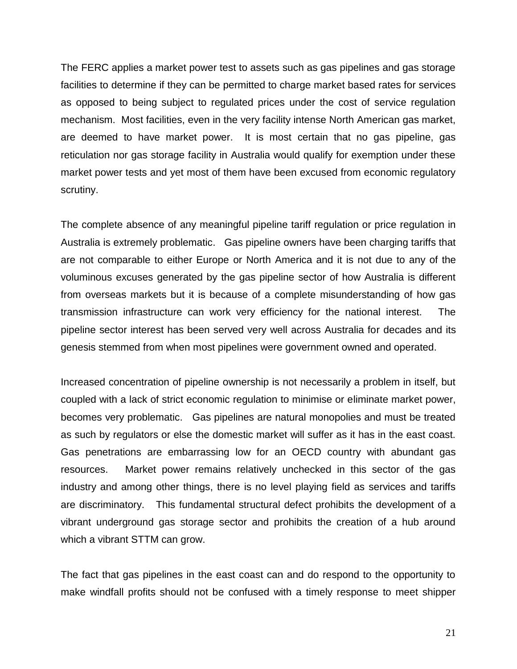The FERC applies a market power test to assets such as gas pipelines and gas storage facilities to determine if they can be permitted to charge market based rates for services as opposed to being subject to regulated prices under the cost of service regulation mechanism. Most facilities, even in the very facility intense North American gas market, are deemed to have market power. It is most certain that no gas pipeline, gas reticulation nor gas storage facility in Australia would qualify for exemption under these market power tests and yet most of them have been excused from economic regulatory scrutiny.

The complete absence of any meaningful pipeline tariff regulation or price regulation in Australia is extremely problematic. Gas pipeline owners have been charging tariffs that are not comparable to either Europe or North America and it is not due to any of the voluminous excuses generated by the gas pipeline sector of how Australia is different from overseas markets but it is because of a complete misunderstanding of how gas transmission infrastructure can work very efficiency for the national interest. The pipeline sector interest has been served very well across Australia for decades and its genesis stemmed from when most pipelines were government owned and operated.

Increased concentration of pipeline ownership is not necessarily a problem in itself, but coupled with a lack of strict economic regulation to minimise or eliminate market power, becomes very problematic. Gas pipelines are natural monopolies and must be treated as such by regulators or else the domestic market will suffer as it has in the east coast. Gas penetrations are embarrassing low for an OECD country with abundant gas resources. Market power remains relatively unchecked in this sector of the gas industry and among other things, there is no level playing field as services and tariffs are discriminatory. This fundamental structural defect prohibits the development of a vibrant underground gas storage sector and prohibits the creation of a hub around which a vibrant STTM can grow.

The fact that gas pipelines in the east coast can and do respond to the opportunity to make windfall profits should not be confused with a timely response to meet shipper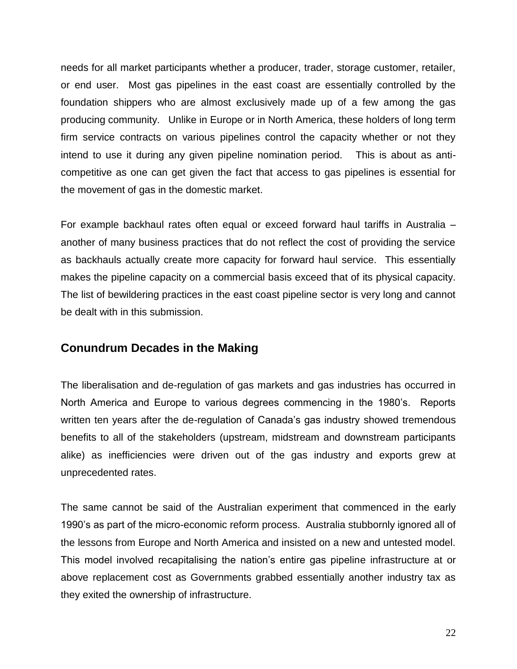needs for all market participants whether a producer, trader, storage customer, retailer, or end user. Most gas pipelines in the east coast are essentially controlled by the foundation shippers who are almost exclusively made up of a few among the gas producing community. Unlike in Europe or in North America, these holders of long term firm service contracts on various pipelines control the capacity whether or not they intend to use it during any given pipeline nomination period. This is about as anticompetitive as one can get given the fact that access to gas pipelines is essential for the movement of gas in the domestic market.

For example backhaul rates often equal or exceed forward haul tariffs in Australia – another of many business practices that do not reflect the cost of providing the service as backhauls actually create more capacity for forward haul service. This essentially makes the pipeline capacity on a commercial basis exceed that of its physical capacity. The list of bewildering practices in the east coast pipeline sector is very long and cannot be dealt with in this submission.

## **Conundrum Decades in the Making**

The liberalisation and de-regulation of gas markets and gas industries has occurred in North America and Europe to various degrees commencing in the 1980's. Reports written ten years after the de-regulation of Canada's gas industry showed tremendous benefits to all of the stakeholders (upstream, midstream and downstream participants alike) as inefficiencies were driven out of the gas industry and exports grew at unprecedented rates.

The same cannot be said of the Australian experiment that commenced in the early 1990's as part of the micro-economic reform process. Australia stubbornly ignored all of the lessons from Europe and North America and insisted on a new and untested model. This model involved recapitalising the nation's entire gas pipeline infrastructure at or above replacement cost as Governments grabbed essentially another industry tax as they exited the ownership of infrastructure.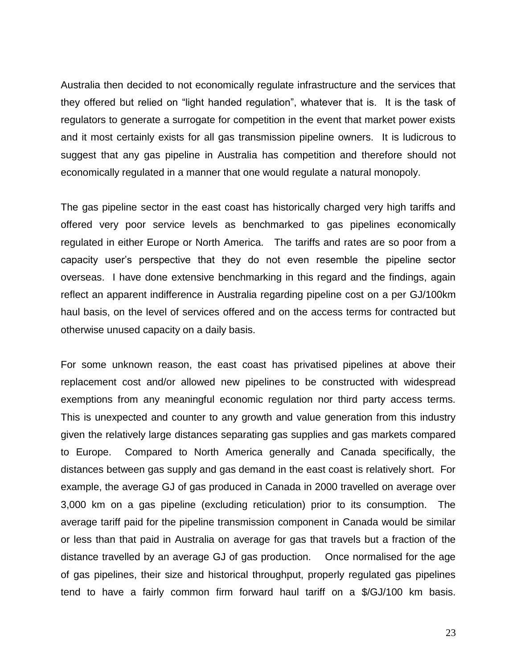Australia then decided to not economically regulate infrastructure and the services that they offered but relied on "light handed regulation", whatever that is. It is the task of regulators to generate a surrogate for competition in the event that market power exists and it most certainly exists for all gas transmission pipeline owners. It is ludicrous to suggest that any gas pipeline in Australia has competition and therefore should not economically regulated in a manner that one would regulate a natural monopoly.

The gas pipeline sector in the east coast has historically charged very high tariffs and offered very poor service levels as benchmarked to gas pipelines economically regulated in either Europe or North America. The tariffs and rates are so poor from a capacity user's perspective that they do not even resemble the pipeline sector overseas. I have done extensive benchmarking in this regard and the findings, again reflect an apparent indifference in Australia regarding pipeline cost on a per GJ/100km haul basis, on the level of services offered and on the access terms for contracted but otherwise unused capacity on a daily basis.

For some unknown reason, the east coast has privatised pipelines at above their replacement cost and/or allowed new pipelines to be constructed with widespread exemptions from any meaningful economic regulation nor third party access terms. This is unexpected and counter to any growth and value generation from this industry given the relatively large distances separating gas supplies and gas markets compared to Europe. Compared to North America generally and Canada specifically, the distances between gas supply and gas demand in the east coast is relatively short. For example, the average GJ of gas produced in Canada in 2000 travelled on average over 3,000 km on a gas pipeline (excluding reticulation) prior to its consumption. The average tariff paid for the pipeline transmission component in Canada would be similar or less than that paid in Australia on average for gas that travels but a fraction of the distance travelled by an average GJ of gas production. Once normalised for the age of gas pipelines, their size and historical throughput, properly regulated gas pipelines tend to have a fairly common firm forward haul tariff on a \$/GJ/100 km basis.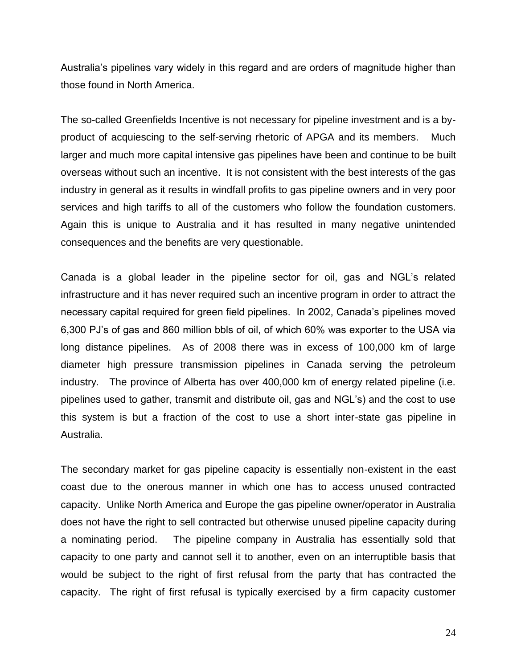Australia's pipelines vary widely in this regard and are orders of magnitude higher than those found in North America.

The so-called Greenfields Incentive is not necessary for pipeline investment and is a byproduct of acquiescing to the self-serving rhetoric of APGA and its members. Much larger and much more capital intensive gas pipelines have been and continue to be built overseas without such an incentive. It is not consistent with the best interests of the gas industry in general as it results in windfall profits to gas pipeline owners and in very poor services and high tariffs to all of the customers who follow the foundation customers. Again this is unique to Australia and it has resulted in many negative unintended consequences and the benefits are very questionable.

Canada is a global leader in the pipeline sector for oil, gas and NGL's related infrastructure and it has never required such an incentive program in order to attract the necessary capital required for green field pipelines. In 2002, Canada's pipelines moved 6,300 PJ's of gas and 860 million bbls of oil, of which 60% was exporter to the USA via long distance pipelines. As of 2008 there was in excess of 100,000 km of large diameter high pressure transmission pipelines in Canada serving the petroleum industry. The province of Alberta has over 400,000 km of energy related pipeline (i.e. pipelines used to gather, transmit and distribute oil, gas and NGL's) and the cost to use this system is but a fraction of the cost to use a short inter-state gas pipeline in Australia.

The secondary market for gas pipeline capacity is essentially non-existent in the east coast due to the onerous manner in which one has to access unused contracted capacity. Unlike North America and Europe the gas pipeline owner/operator in Australia does not have the right to sell contracted but otherwise unused pipeline capacity during a nominating period. The pipeline company in Australia has essentially sold that capacity to one party and cannot sell it to another, even on an interruptible basis that would be subject to the right of first refusal from the party that has contracted the capacity. The right of first refusal is typically exercised by a firm capacity customer

24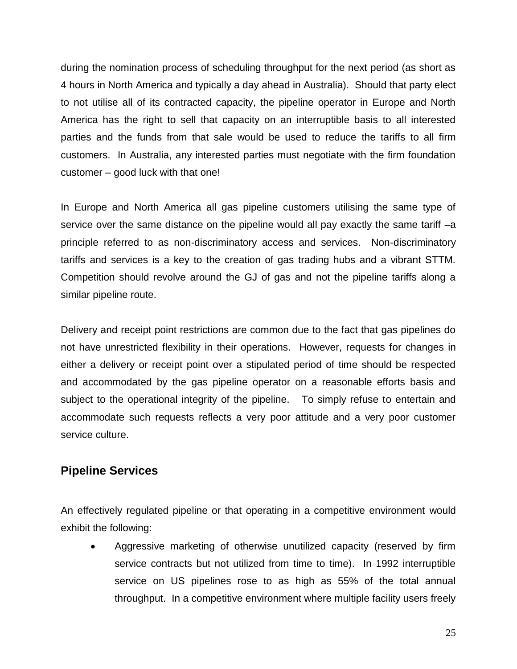during the nomination process of scheduling throughput for the next period (as short as 4 hours in North America and typically a day ahead in Australia). Should that party elect to not utilise all of its contracted capacity, the pipeline operator in Europe and North America has the right to sell that capacity on an interruptible basis to all interested parties and the funds from that sale would be used to reduce the tariffs to all firm customers. In Australia, any interested parties must negotiate with the firm foundation customer – good luck with that one!

In Europe and North America all gas pipeline customers utilising the same type of service over the same distance on the pipeline would all pay exactly the same tariff  $-a$ principle referred to as non-discriminatory access and services. Non-discriminatory tariffs and services is a key to the creation of gas trading hubs and a vibrant STTM. Competition should revolve around the GJ of gas and not the pipeline tariffs along a similar pipeline route.

Delivery and receipt point restrictions are common due to the fact that gas pipelines do not have unrestricted flexibility in their operations. However, requests for changes in either a delivery or receipt point over a stipulated period of time should be respected and accommodated by the gas pipeline operator on a reasonable efforts basis and subject to the operational integrity of the pipeline. To simply refuse to entertain and accommodate such requests reflects a very poor attitude and a very poor customer service culture.

## **Pipeline Services**

An effectively regulated pipeline or that operating in a competitive environment would exhibit the following:

 Aggressive marketing of otherwise unutilized capacity (reserved by firm service contracts but not utilized from time to time). In 1992 interruptible service on US pipelines rose to as high as 55% of the total annual throughput. In a competitive environment where multiple facility users freely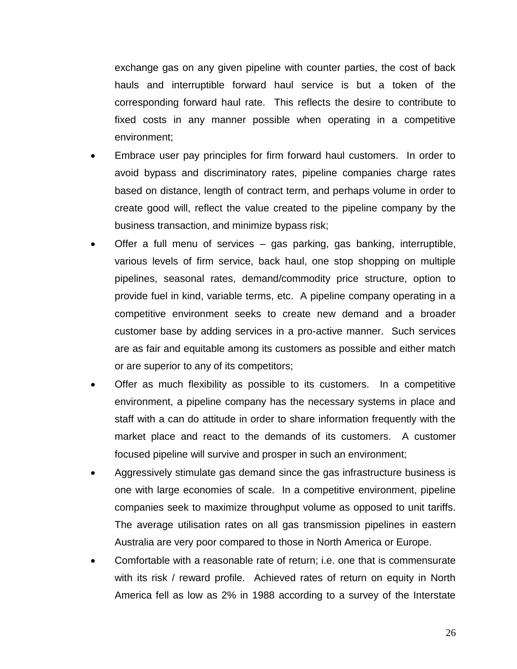exchange gas on any given pipeline with counter parties, the cost of back hauls and interruptible forward haul service is but a token of the corresponding forward haul rate. This reflects the desire to contribute to fixed costs in any manner possible when operating in a competitive environment;

- Embrace user pay principles for firm forward haul customers. In order to avoid bypass and discriminatory rates, pipeline companies charge rates based on distance, length of contract term, and perhaps volume in order to create good will, reflect the value created to the pipeline company by the business transaction, and minimize bypass risk;
- Offer a full menu of services gas parking, gas banking, interruptible, various levels of firm service, back haul, one stop shopping on multiple pipelines, seasonal rates, demand/commodity price structure, option to provide fuel in kind, variable terms, etc. A pipeline company operating in a competitive environment seeks to create new demand and a broader customer base by adding services in a pro-active manner. Such services are as fair and equitable among its customers as possible and either match or are superior to any of its competitors;
- Offer as much flexibility as possible to its customers. In a competitive environment, a pipeline company has the necessary systems in place and staff with a can do attitude in order to share information frequently with the market place and react to the demands of its customers. A customer focused pipeline will survive and prosper in such an environment;
- Aggressively stimulate gas demand since the gas infrastructure business is one with large economies of scale. In a competitive environment, pipeline companies seek to maximize throughput volume as opposed to unit tariffs. The average utilisation rates on all gas transmission pipelines in eastern Australia are very poor compared to those in North America or Europe.
- Comfortable with a reasonable rate of return; i.e. one that is commensurate with its risk / reward profile. Achieved rates of return on equity in North America fell as low as 2% in 1988 according to a survey of the Interstate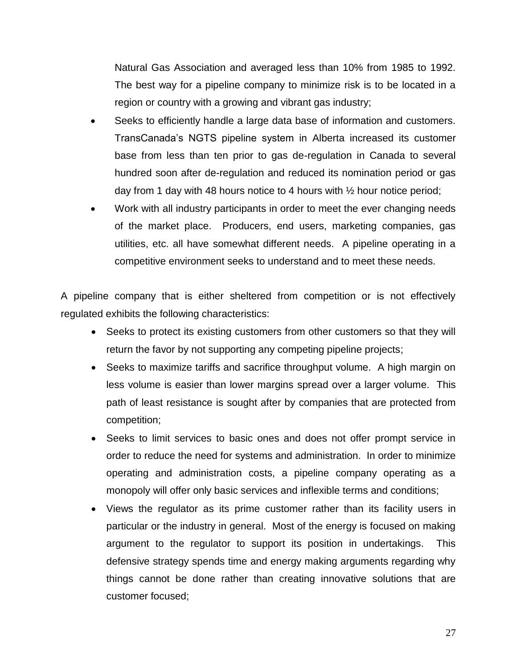Natural Gas Association and averaged less than 10% from 1985 to 1992. The best way for a pipeline company to minimize risk is to be located in a region or country with a growing and vibrant gas industry;

- Seeks to efficiently handle a large data base of information and customers. TransCanada's NGTS pipeline system in Alberta increased its customer base from less than ten prior to gas de-regulation in Canada to several hundred soon after de-regulation and reduced its nomination period or gas day from 1 day with 48 hours notice to 4 hours with ½ hour notice period;
- Work with all industry participants in order to meet the ever changing needs of the market place. Producers, end users, marketing companies, gas utilities, etc. all have somewhat different needs. A pipeline operating in a competitive environment seeks to understand and to meet these needs.

A pipeline company that is either sheltered from competition or is not effectively regulated exhibits the following characteristics:

- Seeks to protect its existing customers from other customers so that they will return the favor by not supporting any competing pipeline projects;
- Seeks to maximize tariffs and sacrifice throughput volume. A high margin on less volume is easier than lower margins spread over a larger volume. This path of least resistance is sought after by companies that are protected from competition;
- Seeks to limit services to basic ones and does not offer prompt service in order to reduce the need for systems and administration. In order to minimize operating and administration costs, a pipeline company operating as a monopoly will offer only basic services and inflexible terms and conditions;
- Views the regulator as its prime customer rather than its facility users in particular or the industry in general. Most of the energy is focused on making argument to the regulator to support its position in undertakings. This defensive strategy spends time and energy making arguments regarding why things cannot be done rather than creating innovative solutions that are customer focused;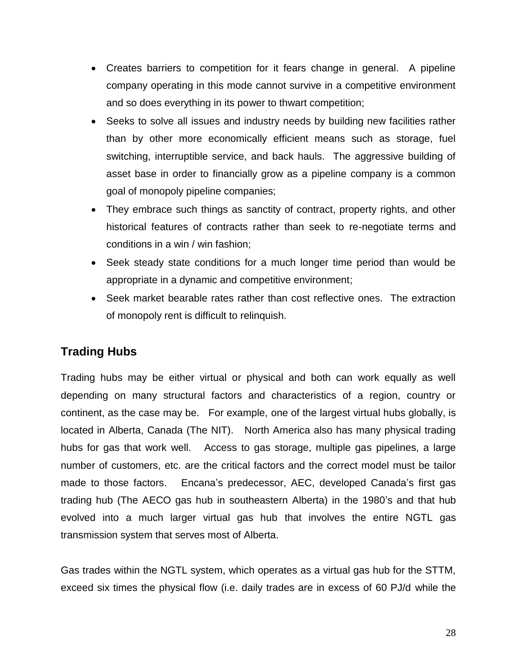- Creates barriers to competition for it fears change in general. A pipeline company operating in this mode cannot survive in a competitive environment and so does everything in its power to thwart competition;
- Seeks to solve all issues and industry needs by building new facilities rather than by other more economically efficient means such as storage, fuel switching, interruptible service, and back hauls. The aggressive building of asset base in order to financially grow as a pipeline company is a common goal of monopoly pipeline companies;
- They embrace such things as sanctity of contract, property rights, and other historical features of contracts rather than seek to re-negotiate terms and conditions in a win / win fashion;
- Seek steady state conditions for a much longer time period than would be appropriate in a dynamic and competitive environment;
- Seek market bearable rates rather than cost reflective ones. The extraction of monopoly rent is difficult to relinquish.

# **Trading Hubs**

Trading hubs may be either virtual or physical and both can work equally as well depending on many structural factors and characteristics of a region, country or continent, as the case may be. For example, one of the largest virtual hubs globally, is located in Alberta, Canada (The NIT). North America also has many physical trading hubs for gas that work well. Access to gas storage, multiple gas pipelines, a large number of customers, etc. are the critical factors and the correct model must be tailor made to those factors. Encana's predecessor, AEC, developed Canada's first gas trading hub (The AECO gas hub in southeastern Alberta) in the 1980's and that hub evolved into a much larger virtual gas hub that involves the entire NGTL gas transmission system that serves most of Alberta.

Gas trades within the NGTL system, which operates as a virtual gas hub for the STTM, exceed six times the physical flow (i.e. daily trades are in excess of 60 PJ/d while the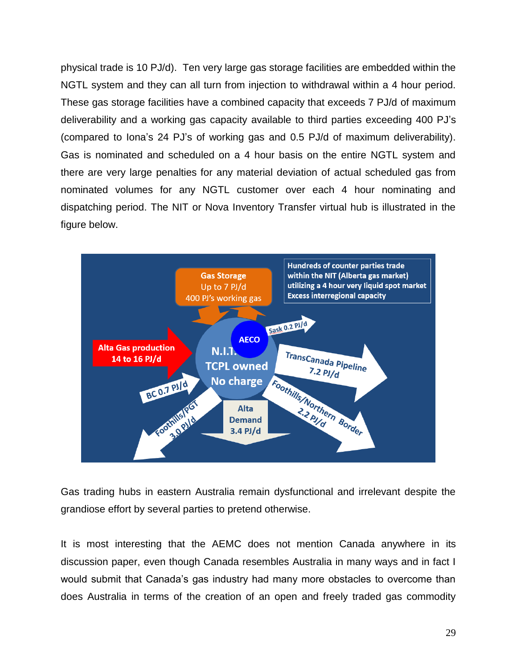physical trade is 10 PJ/d). Ten very large gas storage facilities are embedded within the NGTL system and they can all turn from injection to withdrawal within a 4 hour period. These gas storage facilities have a combined capacity that exceeds 7 PJ/d of maximum deliverability and a working gas capacity available to third parties exceeding 400 PJ's (compared to Iona's 24 PJ's of working gas and 0.5 PJ/d of maximum deliverability). Gas is nominated and scheduled on a 4 hour basis on the entire NGTL system and there are very large penalties for any material deviation of actual scheduled gas from nominated volumes for any NGTL customer over each 4 hour nominating and dispatching period. The NIT or Nova Inventory Transfer virtual hub is illustrated in the figure below.



Gas trading hubs in eastern Australia remain dysfunctional and irrelevant despite the grandiose effort by several parties to pretend otherwise.

It is most interesting that the AEMC does not mention Canada anywhere in its discussion paper, even though Canada resembles Australia in many ways and in fact I would submit that Canada's gas industry had many more obstacles to overcome than does Australia in terms of the creation of an open and freely traded gas commodity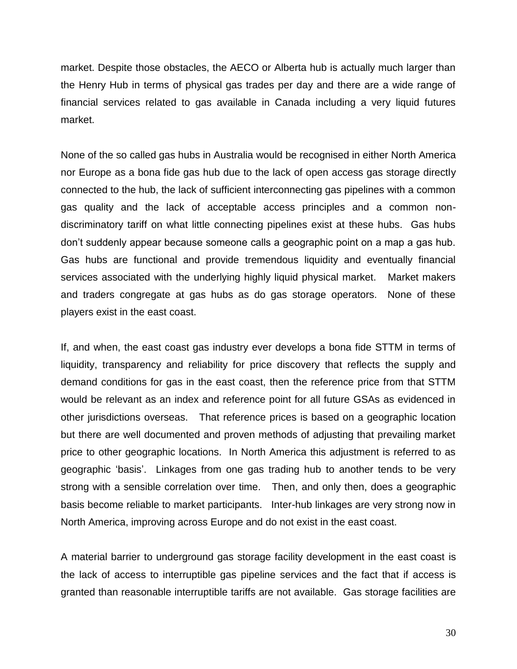market. Despite those obstacles, the AECO or Alberta hub is actually much larger than the Henry Hub in terms of physical gas trades per day and there are a wide range of financial services related to gas available in Canada including a very liquid futures market.

None of the so called gas hubs in Australia would be recognised in either North America nor Europe as a bona fide gas hub due to the lack of open access gas storage directly connected to the hub, the lack of sufficient interconnecting gas pipelines with a common gas quality and the lack of acceptable access principles and a common nondiscriminatory tariff on what little connecting pipelines exist at these hubs. Gas hubs don't suddenly appear because someone calls a geographic point on a map a gas hub. Gas hubs are functional and provide tremendous liquidity and eventually financial services associated with the underlying highly liquid physical market. Market makers and traders congregate at gas hubs as do gas storage operators. None of these players exist in the east coast.

If, and when, the east coast gas industry ever develops a bona fide STTM in terms of liquidity, transparency and reliability for price discovery that reflects the supply and demand conditions for gas in the east coast, then the reference price from that STTM would be relevant as an index and reference point for all future GSAs as evidenced in other jurisdictions overseas. That reference prices is based on a geographic location but there are well documented and proven methods of adjusting that prevailing market price to other geographic locations. In North America this adjustment is referred to as geographic 'basis'. Linkages from one gas trading hub to another tends to be very strong with a sensible correlation over time. Then, and only then, does a geographic basis become reliable to market participants. Inter-hub linkages are very strong now in North America, improving across Europe and do not exist in the east coast.

A material barrier to underground gas storage facility development in the east coast is the lack of access to interruptible gas pipeline services and the fact that if access is granted than reasonable interruptible tariffs are not available. Gas storage facilities are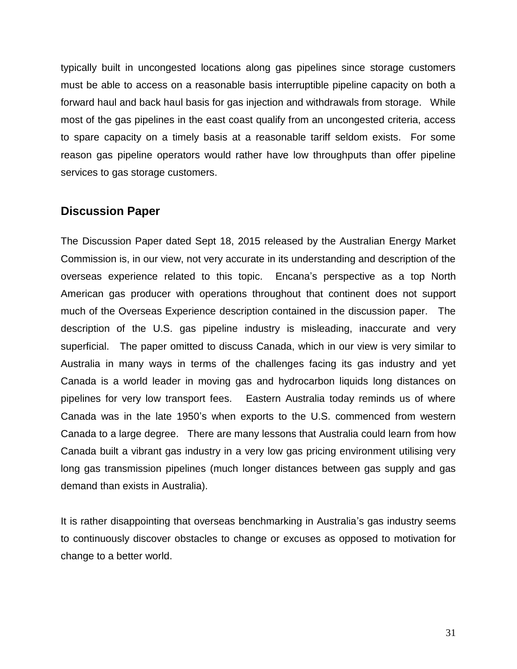typically built in uncongested locations along gas pipelines since storage customers must be able to access on a reasonable basis interruptible pipeline capacity on both a forward haul and back haul basis for gas injection and withdrawals from storage. While most of the gas pipelines in the east coast qualify from an uncongested criteria, access to spare capacity on a timely basis at a reasonable tariff seldom exists. For some reason gas pipeline operators would rather have low throughputs than offer pipeline services to gas storage customers.

#### **Discussion Paper**

The Discussion Paper dated Sept 18, 2015 released by the Australian Energy Market Commission is, in our view, not very accurate in its understanding and description of the overseas experience related to this topic. Encana's perspective as a top North American gas producer with operations throughout that continent does not support much of the Overseas Experience description contained in the discussion paper. The description of the U.S. gas pipeline industry is misleading, inaccurate and very superficial. The paper omitted to discuss Canada, which in our view is very similar to Australia in many ways in terms of the challenges facing its gas industry and yet Canada is a world leader in moving gas and hydrocarbon liquids long distances on pipelines for very low transport fees. Eastern Australia today reminds us of where Canada was in the late 1950's when exports to the U.S. commenced from western Canada to a large degree. There are many lessons that Australia could learn from how Canada built a vibrant gas industry in a very low gas pricing environment utilising very long gas transmission pipelines (much longer distances between gas supply and gas demand than exists in Australia).

It is rather disappointing that overseas benchmarking in Australia's gas industry seems to continuously discover obstacles to change or excuses as opposed to motivation for change to a better world.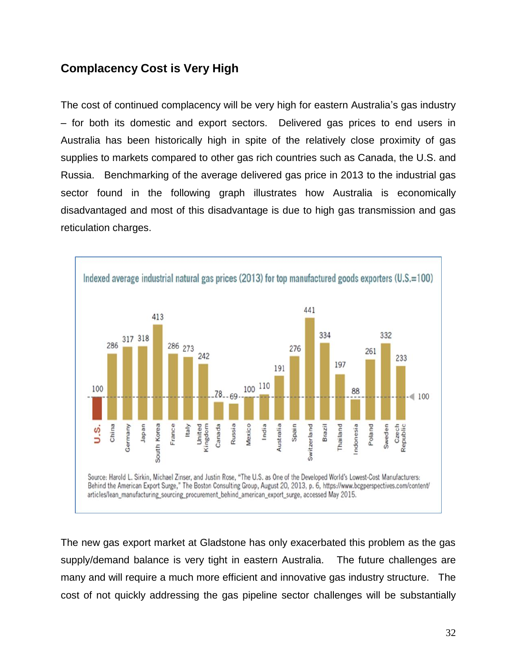# **Complacency Cost is Very High**

The cost of continued complacency will be very high for eastern Australia's gas industry – for both its domestic and export sectors. Delivered gas prices to end users in Australia has been historically high in spite of the relatively close proximity of gas supplies to markets compared to other gas rich countries such as Canada, the U.S. and Russia. Benchmarking of the average delivered gas price in 2013 to the industrial gas sector found in the following graph illustrates how Australia is economically disadvantaged and most of this disadvantage is due to high gas transmission and gas reticulation charges.



The new gas export market at Gladstone has only exacerbated this problem as the gas supply/demand balance is very tight in eastern Australia. The future challenges are many and will require a much more efficient and innovative gas industry structure. The cost of not quickly addressing the gas pipeline sector challenges will be substantially